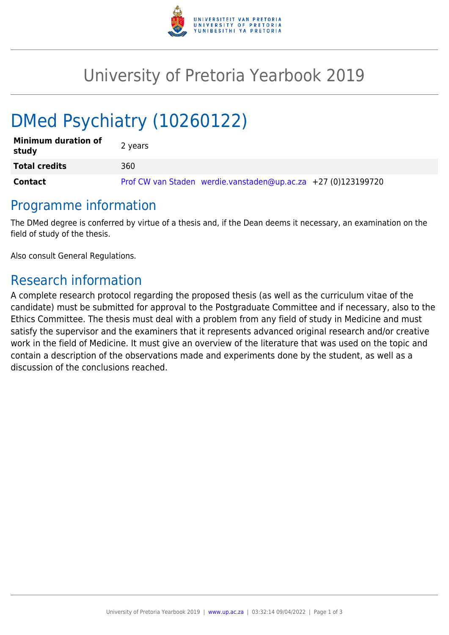

## University of Pretoria Yearbook 2019

# DMed Psychiatry (10260122)

| <b>Minimum duration of</b><br>study | 2 years                                                       |
|-------------------------------------|---------------------------------------------------------------|
| <b>Total credits</b>                | 360                                                           |
| Contact                             | Prof CW van Staden werdie.vanstaden@up.ac.za +27 (0)123199720 |

#### Programme information

The DMed degree is conferred by virtue of a thesis and, if the Dean deems it necessary, an examination on the field of study of the thesis.

Also consult General Regulations.

### Research information

A complete research protocol regarding the proposed thesis (as well as the curriculum vitae of the candidate) must be submitted for approval to the Postgraduate Committee and if necessary, also to the Ethics Committee. The thesis must deal with a problem from any field of study in Medicine and must satisfy the supervisor and the examiners that it represents advanced original research and/or creative work in the field of Medicine. It must give an overview of the literature that was used on the topic and contain a description of the observations made and experiments done by the student, as well as a discussion of the conclusions reached.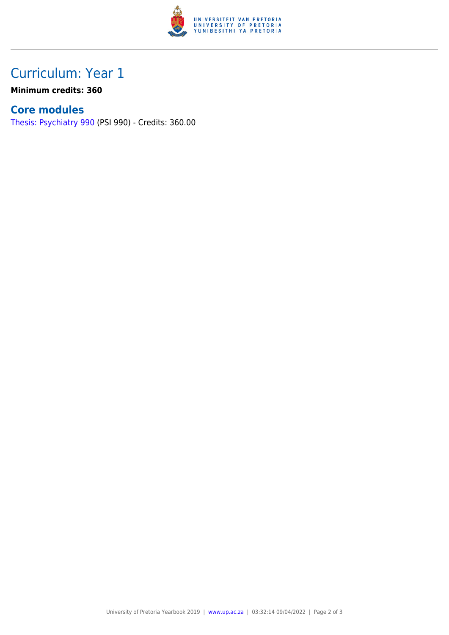

## Curriculum: Year 1

**Minimum credits: 360**

#### **Core modules**

[Thesis: Psychiatry 990](https://www.up.ac.za/faculty-of-education/yearbooks/2019/modules/view/PSI 990) (PSI 990) - Credits: 360.00